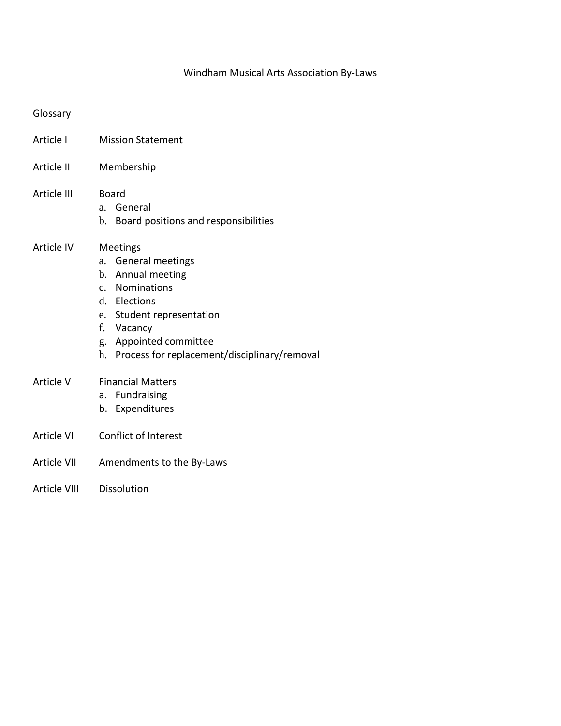### Windham Musical Arts Association By-Laws

#### Glossary

- Article I Mission Statement
- Article II Membership
- Article III Board
	- a. General
	- b. Board positions and responsibilities

#### Article IV Meetings

- a. General meetings
- b. Annual meeting
- c. Nominations
- d. Elections
- e. Student representation
- f. Vacancy
- g. Appointed committee
- h. Process for replacement/disciplinary/removal
- Article V Financial Matters
	- a. Fundraising
	- b. Expenditures
- Article VI Conflict of Interest
- Article VII Amendments to the By-Laws
- Article VIII Dissolution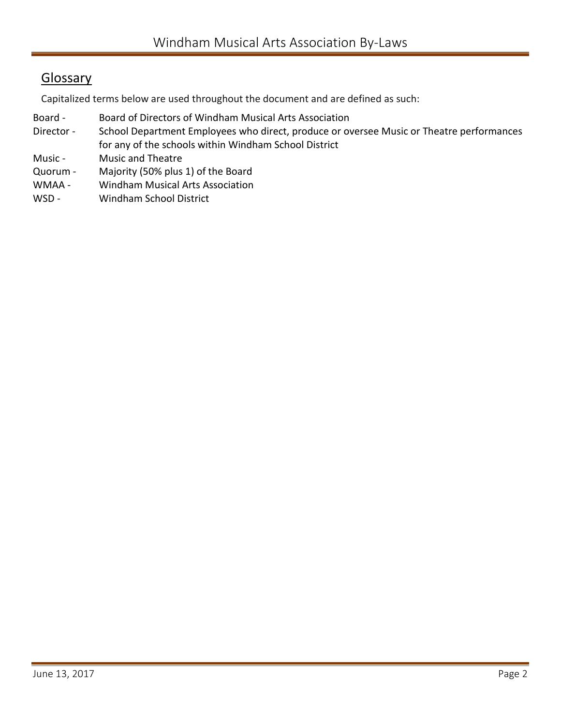# **Glossary**

Capitalized terms below are used throughout the document and are defined as such:

- Board Board of Directors of Windham Musical Arts Association
- Director School Department Employees who direct, produce or oversee Music or Theatre performances for any of the schools within Windham School District
- Music Music and Theatre
- Quorum Majority (50% plus 1) of the Board
- WMAA Windham Musical Arts Association
- WSD Windham School District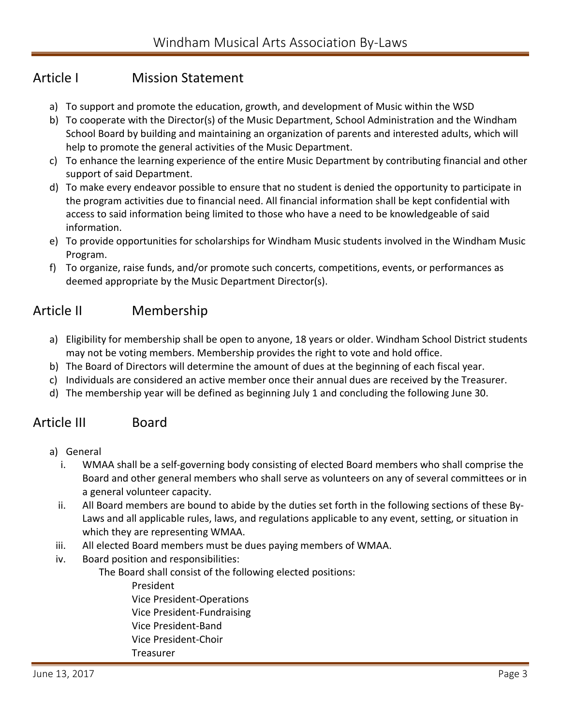## Article I Mission Statement

- a) To support and promote the education, growth, and development of Music within the WSD
- b) To cooperate with the Director(s) of the Music Department, School Administration and the Windham School Board by building and maintaining an organization of parents and interested adults, which will help to promote the general activities of the Music Department.
- c) To enhance the learning experience of the entire Music Department by contributing financial and other support of said Department.
- d) To make every endeavor possible to ensure that no student is denied the opportunity to participate in the program activities due to financial need. All financial information shall be kept confidential with access to said information being limited to those who have a need to be knowledgeable of said information.
- e) To provide opportunities for scholarships for Windham Music students involved in the Windham Music Program.
- f) To organize, raise funds, and/or promote such concerts, competitions, events, or performances as deemed appropriate by the Music Department Director(s).

## Article II Membership

- a) Eligibility for membership shall be open to anyone, 18 years or older. Windham School District students may not be voting members. Membership provides the right to vote and hold office.
- b) The Board of Directors will determine the amount of dues at the beginning of each fiscal year.
- c) Individuals are considered an active member once their annual dues are received by the Treasurer.
- d) The membership year will be defined as beginning July 1 and concluding the following June 30.

### Article III Board

- a) General
	- i. WMAA shall be a self-governing body consisting of elected Board members who shall comprise the Board and other general members who shall serve as volunteers on any of several committees or in a general volunteer capacity.
	- ii. All Board members are bound to abide by the duties set forth in the following sections of these By-Laws and all applicable rules, laws, and regulations applicable to any event, setting, or situation in which they are representing WMAA.
- iii. All elected Board members must be dues paying members of WMAA.
- iv. Board position and responsibilities:

The Board shall consist of the following elected positions:

President

Vice President-Operations

- Vice President-Fundraising
- Vice President-Band
- Vice President-Choir
- Treasurer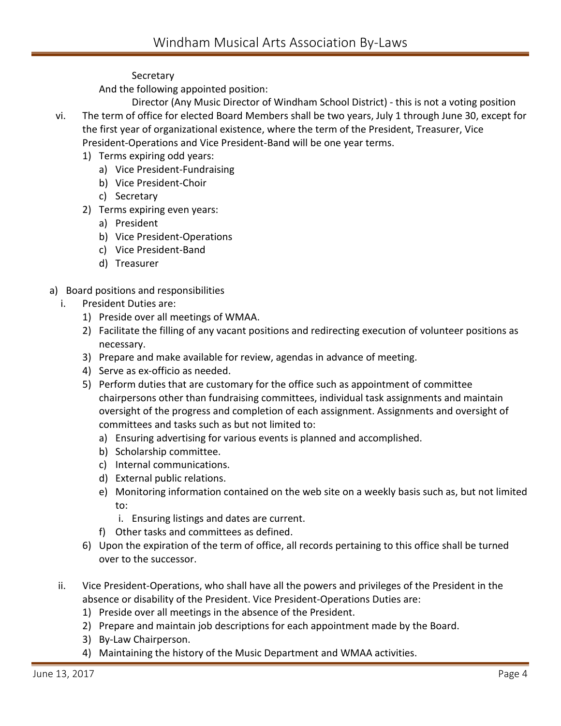### **Secretary**

And the following appointed position:

- Director (Any Music Director of Windham School District) this is not a voting position vi. The term of office for elected Board Members shall be two years, July 1 through June 30, except for the first year of organizational existence, where the term of the President, Treasurer, Vice President-Operations and Vice President-Band will be one year terms.
	- 1) Terms expiring odd years:
		- a) Vice President-Fundraising
		- b) Vice President-Choir
		- c) Secretary
	- 2) Terms expiring even years:
		- a) President
		- b) Vice President-Operations
		- c) Vice President-Band
		- d) Treasurer
- a) Board positions and responsibilities
	- i. President Duties are:
		- 1) Preside over all meetings of WMAA.
		- 2) Facilitate the filling of any vacant positions and redirecting execution of volunteer positions as necessary.
		- 3) Prepare and make available for review, agendas in advance of meeting.
		- 4) Serve as ex-officio as needed.
		- 5) Perform duties that are customary for the office such as appointment of committee chairpersons other than fundraising committees, individual task assignments and maintain oversight of the progress and completion of each assignment. Assignments and oversight of committees and tasks such as but not limited to:
			- a) Ensuring advertising for various events is planned and accomplished.
			- b) Scholarship committee.
			- c) Internal communications.
			- d) External public relations.
			- e) Monitoring information contained on the web site on a weekly basis such as, but not limited to:
				- i. Ensuring listings and dates are current.
			- f) Other tasks and committees as defined.
		- 6) Upon the expiration of the term of office, all records pertaining to this office shall be turned over to the successor.
	- ii. Vice President-Operations, who shall have all the powers and privileges of the President in the absence or disability of the President. Vice President-Operations Duties are:
		- 1) Preside over all meetings in the absence of the President.
		- 2) Prepare and maintain job descriptions for each appointment made by the Board.
		- 3) By-Law Chairperson.
		- 4) Maintaining the history of the Music Department and WMAA activities.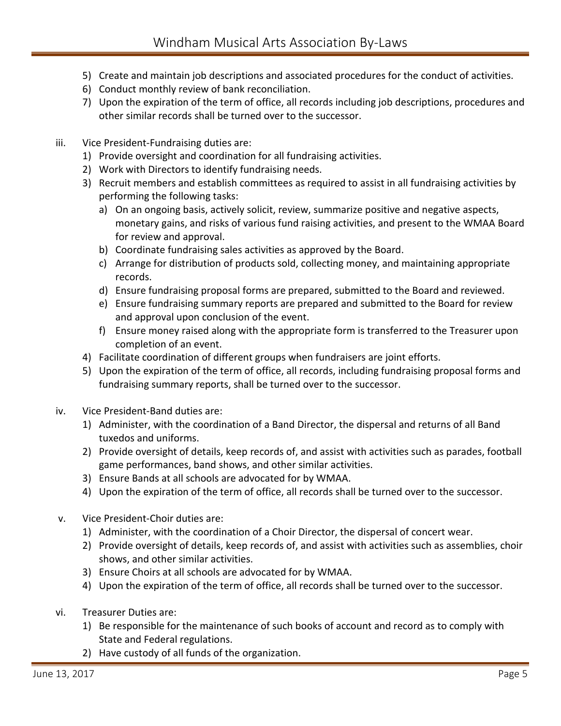- 5) Create and maintain job descriptions and associated procedures for the conduct of activities.
- 6) Conduct monthly review of bank reconciliation.
- 7) Upon the expiration of the term of office, all records including job descriptions, procedures and other similar records shall be turned over to the successor.
- iii. Vice President-Fundraising duties are:
	- 1) Provide oversight and coordination for all fundraising activities.
	- 2) Work with Directors to identify fundraising needs.
	- 3) Recruit members and establish committees as required to assist in all fundraising activities by performing the following tasks:
		- a) On an ongoing basis, actively solicit, review, summarize positive and negative aspects, monetary gains, and risks of various fund raising activities, and present to the WMAA Board for review and approval.
		- b) Coordinate fundraising sales activities as approved by the Board.
		- c) Arrange for distribution of products sold, collecting money, and maintaining appropriate records.
		- d) Ensure fundraising proposal forms are prepared, submitted to the Board and reviewed.
		- e) Ensure fundraising summary reports are prepared and submitted to the Board for review and approval upon conclusion of the event.
		- f) Ensure money raised along with the appropriate form is transferred to the Treasurer upon completion of an event.
	- 4) Facilitate coordination of different groups when fundraisers are joint efforts.
	- 5) Upon the expiration of the term of office, all records, including fundraising proposal forms and fundraising summary reports, shall be turned over to the successor.
- iv. Vice President-Band duties are:
	- 1) Administer, with the coordination of a Band Director, the dispersal and returns of all Band tuxedos and uniforms.
	- 2) Provide oversight of details, keep records of, and assist with activities such as parades, football game performances, band shows, and other similar activities.
	- 3) Ensure Bands at all schools are advocated for by WMAA.
	- 4) Upon the expiration of the term of office, all records shall be turned over to the successor.
- v. Vice President-Choir duties are:
	- 1) Administer, with the coordination of a Choir Director, the dispersal of concert wear.
	- 2) Provide oversight of details, keep records of, and assist with activities such as assemblies, choir shows, and other similar activities.
	- 3) Ensure Choirs at all schools are advocated for by WMAA.
	- 4) Upon the expiration of the term of office, all records shall be turned over to the successor.
- vi. Treasurer Duties are:
	- 1) Be responsible for the maintenance of such books of account and record as to comply with State and Federal regulations.
	- 2) Have custody of all funds of the organization.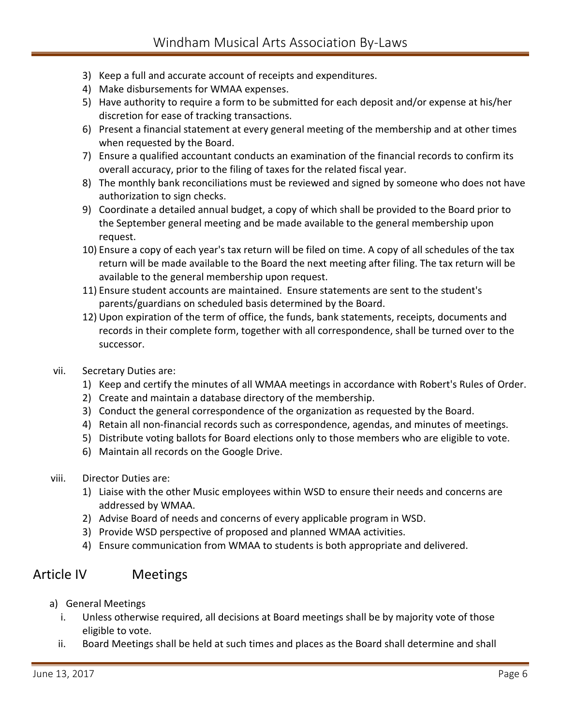- 3) Keep a full and accurate account of receipts and expenditures.
- 4) Make disbursements for WMAA expenses.
- 5) Have authority to require a form to be submitted for each deposit and/or expense at his/her discretion for ease of tracking transactions.
- 6) Present a financial statement at every general meeting of the membership and at other times when requested by the Board.
- 7) Ensure a qualified accountant conducts an examination of the financial records to confirm its overall accuracy, prior to the filing of taxes for the related fiscal year.
- 8) The monthly bank reconciliations must be reviewed and signed by someone who does not have authorization to sign checks.
- 9) Coordinate a detailed annual budget, a copy of which shall be provided to the Board prior to the September general meeting and be made available to the general membership upon request.
- 10) Ensure a copy of each year's tax return will be filed on time. A copy of all schedules of the tax return will be made available to the Board the next meeting after filing. The tax return will be available to the general membership upon request.
- 11) Ensure student accounts are maintained. Ensure statements are sent to the student's parents/guardians on scheduled basis determined by the Board.
- 12) Upon expiration of the term of office, the funds, bank statements, receipts, documents and records in their complete form, together with all correspondence, shall be turned over to the successor.
- vii. Secretary Duties are:
	- 1) Keep and certify the minutes of all WMAA meetings in accordance with Robert's Rules of Order.
	- 2) Create and maintain a database directory of the membership.
	- 3) Conduct the general correspondence of the organization as requested by the Board.
	- 4) Retain all non-financial records such as correspondence, agendas, and minutes of meetings.
	- 5) Distribute voting ballots for Board elections only to those members who are eligible to vote.
	- 6) Maintain all records on the Google Drive.
- viii. Director Duties are:
	- 1) Liaise with the other Music employees within WSD to ensure their needs and concerns are addressed by WMAA.
	- 2) Advise Board of needs and concerns of every applicable program in WSD.
	- 3) Provide WSD perspective of proposed and planned WMAA activities.
	- 4) Ensure communication from WMAA to students is both appropriate and delivered.

### Article IV Meetings

- a) General Meetings
	- i. Unless otherwise required, all decisions at Board meetings shall be by majority vote of those eligible to vote.
	- ii. Board Meetings shall be held at such times and places as the Board shall determine and shall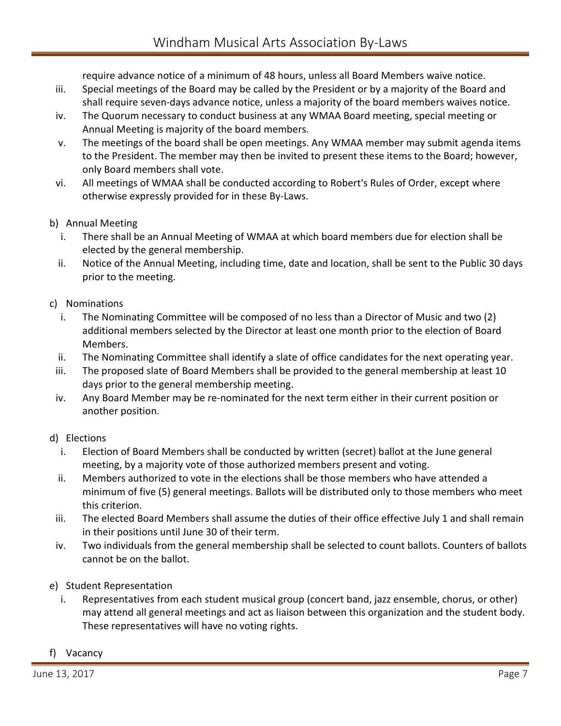require advance notice of a minimum of 48 hours, unless all Board Members waive notice.

- iii. Special meetings of the Board may be called by the President or by a majority of the Board and shall require seven-days advance notice, unless a majority of the board members waives notice.
- iv. The Quorum necessary to conduct business at any WMAA Board meeting, special meeting or Annual Meeting is majority of the board members.
- v. The meetings of the board shall be open meetings. Any WMAA member may submit agenda items to the President. The member may then be invited to present these items to the Board; however, only Board members shall vote.
- vi. All meetings of WMAA shall be conducted according to Robert's Rules of Order, except where otherwise expressly provided for in these By-Laws.
- b) Annual Meeting
	- i. There shall be an Annual Meeting of WMAA at which board members due for election shall be elected by the general membership.
	- ii. Notice of the Annual Meeting, including time, date and location, shall be sent to the Public 30 days prior to the meeting.
- c) Nominations
	- i. The Nominating Committee will be composed of no less than a Director of Music and two (2) additional members selected by the Director at least one month prior to the election of Board Members.
	- ii. The Nominating Committee shall identify a slate of office candidates for the next operating year.
	- iii. The proposed slate of Board Members shall be provided to the general membership at least 10 days prior to the general membership meeting.
- iv. Any Board Member may be re-nominated for the next term either in their current position or another position.
- d) Elections
	- i. Election of Board Members shall be conducted by written (secret) ballot at the June general meeting, by a majority vote of those authorized members present and voting.
	- ii. Members authorized to vote in the elections shall be those members who have attended a minimum of five (5) general meetings. Ballots will be distributed only to those members who meet this criterion.
- iii. The elected Board Members shall assume the duties of their office effective July 1 and shall remain in their positions until June 30 of their term.
- iv. Two individuals from the general membership shall be selected to count ballots. Counters of ballots cannot be on the ballot.
- e) Student Representation
	- i. Representatives from each student musical group (concert band, jazz ensemble, chorus, or other) may attend all general meetings and act as liaison between this organization and the student body. These representatives will have no voting rights.
- f) Vacancy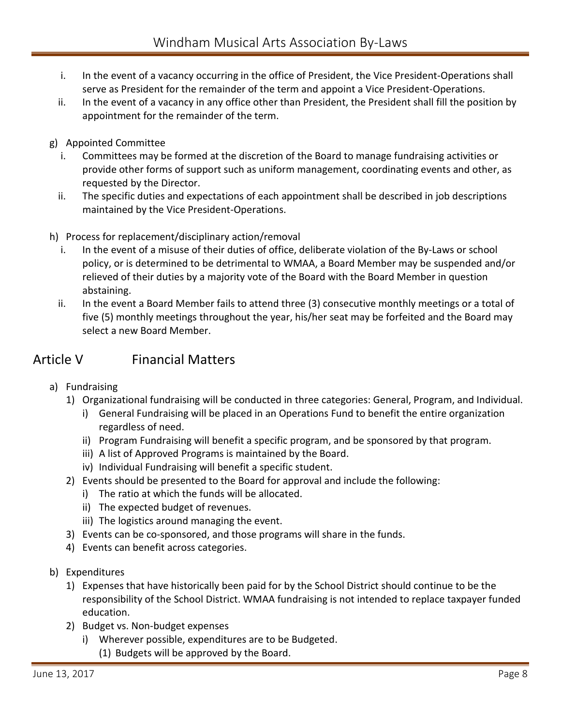- i. In the event of a vacancy occurring in the office of President, the Vice President-Operations shall serve as President for the remainder of the term and appoint a Vice President-Operations.
- ii. In the event of a vacancy in any office other than President, the President shall fill the position by appointment for the remainder of the term.
- g) Appointed Committee
	- i. Committees may be formed at the discretion of the Board to manage fundraising activities or provide other forms of support such as uniform management, coordinating events and other, as requested by the Director.
	- ii. The specific duties and expectations of each appointment shall be described in job descriptions maintained by the Vice President-Operations.
- h) Process for replacement/disciplinary action/removal
	- i. In the event of a misuse of their duties of office, deliberate violation of the By-Laws or school policy, or is determined to be detrimental to WMAA, a Board Member may be suspended and/or relieved of their duties by a majority vote of the Board with the Board Member in question abstaining.
	- ii. In the event a Board Member fails to attend three (3) consecutive monthly meetings or a total of five (5) monthly meetings throughout the year, his/her seat may be forfeited and the Board may select a new Board Member.

## Article V Financial Matters

- a) Fundraising
	- 1) Organizational fundraising will be conducted in three categories: General, Program, and Individual.
		- i) General Fundraising will be placed in an Operations Fund to benefit the entire organization regardless of need.
		- ii) Program Fundraising will benefit a specific program, and be sponsored by that program.
		- iii) A list of Approved Programs is maintained by the Board.
		- iv) Individual Fundraising will benefit a specific student.
	- 2) Events should be presented to the Board for approval and include the following:
		- i) The ratio at which the funds will be allocated.
		- ii) The expected budget of revenues.
		- iii) The logistics around managing the event.
	- 3) Events can be co-sponsored, and those programs will share in the funds.
	- 4) Events can benefit across categories.
- b) Expenditures
	- 1) Expenses that have historically been paid for by the School District should continue to be the responsibility of the School District. WMAA fundraising is not intended to replace taxpayer funded education.
	- 2) Budget vs. Non-budget expenses
		- i) Wherever possible, expenditures are to be Budgeted.
			- (1) Budgets will be approved by the Board.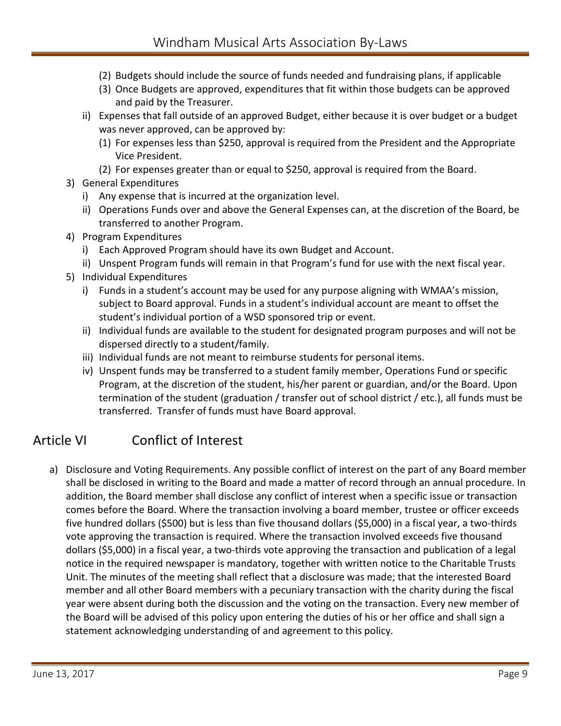- (2) Budgets should include the source of funds needed and fundraising plans, if applicable
- (3) Once Budgets are approved, expenditures that fit within those budgets can be approved and paid by the Treasurer.
- ii) Expenses that fall outside of an approved Budget, either because it is over budget or a budget was never approved, can be approved by:
	- (1) For expenses less than \$250, approval is required from the President and the Appropriate Vice President.
	- (2) For expenses greater than or equal to \$250, approval is required from the Board.
- 3) General Expenditures
	- i) Any expense that is incurred at the organization level.
	- ii) Operations Funds over and above the General Expenses can, at the discretion of the Board, be transferred to another Program.
- 4) Program Expenditures
	- i) Each Approved Program should have its own Budget and Account.
	- ii) Unspent Program funds will remain in that Program's fund for use with the next fiscal year.
- 5) Individual Expenditures
	- i) Funds in a student's account may be used for any purpose aligning with WMAA's mission, subject to Board approval. Funds in a student's individual account are meant to offset the student's individual portion of a WSD sponsored trip or event.
	- ii) Individual funds are available to the student for designated program purposes and will not be dispersed directly to a student/family.
	- iii) Individual funds are not meant to reimburse students for personal items.
	- iv) Unspent funds may be transferred to a student family member, Operations Fund or specific Program, at the discretion of the student, his/her parent or guardian, and/or the Board. Upon termination of the student (graduation / transfer out of school district / etc.), all funds must be transferred. Transfer of funds must have Board approval.

# Article VI Conflict of Interest

a) Disclosure and Voting Requirements. Any possible conflict of interest on the part of any Board member shall be disclosed in writing to the Board and made a matter of record through an annual procedure. In addition, the Board member shall disclose any conflict of interest when a specific issue or transaction comes before the Board. Where the transaction involving a board member, trustee or officer exceeds five hundred dollars (\$500) but is less than five thousand dollars (\$5,000) in a fiscal year, a two-thirds vote approving the transaction is required. Where the transaction involved exceeds five thousand dollars (\$5,000) in a fiscal year, a two-thirds vote approving the transaction and publication of a legal notice in the required newspaper is mandatory, together with written notice to the Charitable Trusts Unit. The minutes of the meeting shall reflect that a disclosure was made; that the interested Board member and all other Board members with a pecuniary transaction with the charity during the fiscal year were absent during both the discussion and the voting on the transaction. Every new member of the Board will be advised of this policy upon entering the duties of his or her office and shall sign a statement acknowledging understanding of and agreement to this policy.